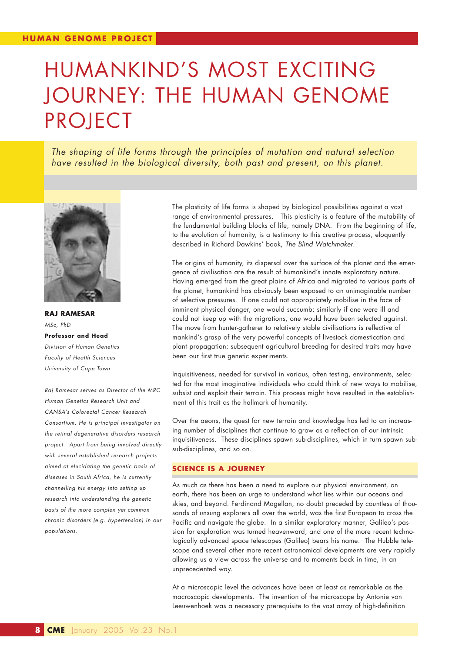# HUMANKIND'S MOST EXCITING JOURNEY: THE HUMAN GENOME PROJECT

*The shaping of life forms through the principles of mutation and natural selection have resulted in the biological diversity, both past and present, on this planet.*



**RAJ RAMESAR** *MSc, PhD*  **Professor and Head** *Division of Human Genetics Faculty of Health Sciences University of Cape Town*

*Raj Ramesar serves as Director of the MRC Human Genetics Research Unit and CANSA's Colorectal Cancer Research Consortium. He is principal investigator on the retinal degenerative disorders research project. Apart from being involved directly with several established research projects aimed at elucidating the genetic basis of diseases in South Africa, he is currently channelling his energy into setting up research into understanding the genetic basis of the more complex yet common chronic disorders (e.g. hypertension) in our populations.*

The plasticity of life forms is shaped by biological possibilities against a vast range of environmental pressures. This plasticity is a feature of the mutability of the fundamental building blocks of life, namely DNA. From the beginning of life, to the evolution of humanity, is a testimony to this creative process, eloquently described in Richard Dawkins' book, *The Blind Watchmaker*. 1

The origins of humanity, its dispersal over the surface of the planet and the emergence of civilisation are the result of humankind's innate exploratory nature. Having emerged from the great plains of Africa and migrated to various parts of the planet, humankind has obviously been exposed to an unimaginable number of selective pressures. If one could not appropriately mobilise in the face of imminent physical danger, one would succumb; similarly if one were ill and could not keep up with the migrations, one would have been selected against. The move from hunter-gatherer to relatively stable civilisations is reflective of mankind's grasp of the very powerful concepts of livestock domestication and plant propagation; subsequent agricultural breeding for desired traits may have been our first true genetic experiments.

Inquisitiveness, needed for survival in various, often testing, environments, selected for the most imaginative individuals who could think of new ways to mobilise, subsist and exploit their terrain. This process might have resulted in the establishment of this trait as the hallmark of humanity.

Over the aeons, the quest for new terrain and knowledge has led to an increasing number of disciplines that continue to grow as a reflection of our intrinsic inquisitiveness. These disciplines spawn sub-disciplines, which in turn spawn subsub-disciplines, and so on.

#### **SCIENCE IS A JOURNEY**

As much as there has been a need to explore our physical environment, on earth, there has been an urge to understand what lies within our oceans and skies, and beyond. Ferdinand Magellan, no doubt preceded by countless of thousands of unsung explorers all over the world, was the first European to cross the Pacific and navigate the globe. In a similar exploratory manner, Galileo's passion for exploration was turned heavenward; and one of the more recent technologically advanced space telescopes (Galileo) bears his name. The Hubble telescope and several other more recent astronomical developments are very rapidly allowing us a view across the universe and to moments back in time, in an unprecedented way.

At a microscopic level the advances have been at least as remarkable as the macroscopic developments. The invention of the microscope by Antonie von Leeuwenhoek was a necessary prerequisite to the vast array of high-definition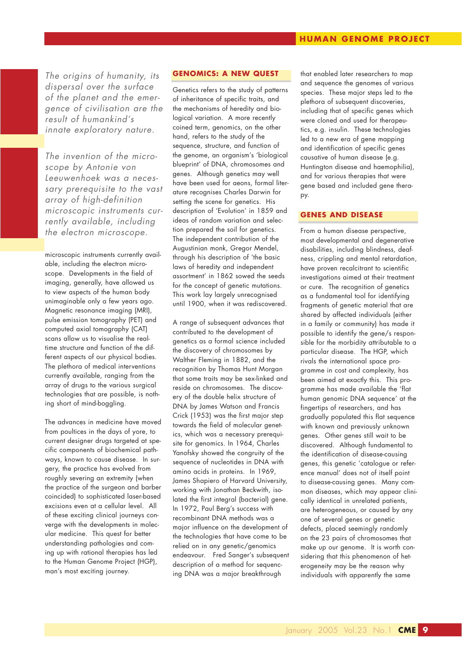*The origins of humanity, its dispersal over the surface of the planet and the emergence of civilisation are the result of humankind's innate exploratory nature.*

*The invention of the microscope by Antonie von Leeuwenhoek was a necessary prerequisite to the vast array of high-definition microscopic instruments currently available, including the electron microscope.*

microscopic instruments currently available, including the electron microscope. Developments in the field of imaging, generally, have allowed us to view aspects of the human body unimaginable only a few years ago. Magnetic resonance imaging (MRI), pulse emission tomography (PET) and computed axial tomography (CAT) scans allow us to visualise the realtime structure and function of the different aspects of our physical bodies. The plethora of medical interventions currently available, ranging from the array of drugs to the various surgical technologies that are possible, is nothing short of mind-boggling.

The advances in medicine have moved from poultices in the days of yore, to current designer drugs targeted at specific components of biochemical pathways, known to cause disease. In surgery, the practice has evolved from roughly severing an extremity (when the practice of the surgeon and barber coincided) to sophisticated laser-based excisions even at a cellular level. All of these exciting clinical journeys converge with the developments in molecular medicine. This quest for better understanding pathologies and coming up with rational therapies has led to the Human Genome Project (HGP), man's most exciting journey.

### **GENOMICS: A NEW QUEST**

Genetics refers to the study of patterns of inheritance of specific traits, and the mechanisms of heredity and biological variation. A more recently coined term, genomics, on the other hand, refers to the study of the sequence, structure, and function of the genome, an organism's 'biological blueprint' of DNA, chromosomes and genes. Although genetics may well have been used for aeons, formal literature recognises Charles Darwin for setting the scene for genetics. His description of 'Evolution' in 1859 and ideas of random variation and selection prepared the soil for genetics. The independent contribution of the Augustinian monk, Gregor Mendel, through his description of 'the basic laws of heredity and independent assortment' in 1862 sowed the seeds for the concept of genetic mutations. This work lay largely unrecognised until 1900, when it was rediscovered.

A range of subsequent advances that contributed to the development of genetics as a formal science included the discovery of chromosomes by Walther Fleming in 1882, and the recognition by Thomas Hunt Morgan that some traits may be sex-linked and reside on chromosomes. The discovery of the double helix structure of DNA by James Watson and Francis Crick (1953) was the first major step towards the field of molecular genetics, which was a necessary prerequisite for genomics. In 1964, Charles Yanofsky showed the congruity of the sequence of nucleotides in DNA with amino acids in proteins. In 1969, James Shapiero of Harvard University, working with Jonathan Beckwith, isolated the first integral (bacterial) gene. In 1972, Paul Berg's success with recombinant DNA methods was a major influence on the development of the technologies that have come to be relied on in any genetic/genomics endeavour. Fred Sanger's subsequent description of a method for sequencing DNA was a major breakthrough

that enabled later researchers to map and sequence the genomes of various species. These major steps led to the plethora of subsequent discoveries, including that of specific genes which were cloned and used for therapeutics, e.g. insulin. These technologies led to a new era of gene mapping and identification of specific genes causative of human disease (e.g. Huntington disease and haemophilia), and for various therapies that were gene based and included gene therapy.

#### **GENES AND DISEASE**

From a human disease perspective, most developmental and degenerative disabilities, including blindness, deafness, crippling and mental retardation, have proven recalcitrant to scientific investigations aimed at their treatment or cure. The recognition of genetics as a fundamental tool for identifying fragments of genetic material that are shared by affected individuals (either in a family or community) has made it possible to identify the gene/s responsible for the morbidity attributable to a particular disease. The HGP, which rivals the international space programme in cost and complexity, has been aimed at exactly this. This programme has made available the 'flat human genomic DNA sequence' at the fingertips of researchers, and has gradually populated this flat sequence with known and previously unknown genes. Other genes still wait to be discovered. Although fundamental to the identification of disease-causing genes, this genetic 'catalogue or reference manual' does not of itself point to disease-causing genes. Many common diseases, which may appear clinically identical in unrelated patients, are heterogeneous, or caused by any one of several genes or genetic defects, placed seemingly randomly on the 23 pairs of chromosomes that make up our genome. It is worth considering that this phenomenon of heterogeneity may be the reason why individuals with apparently the same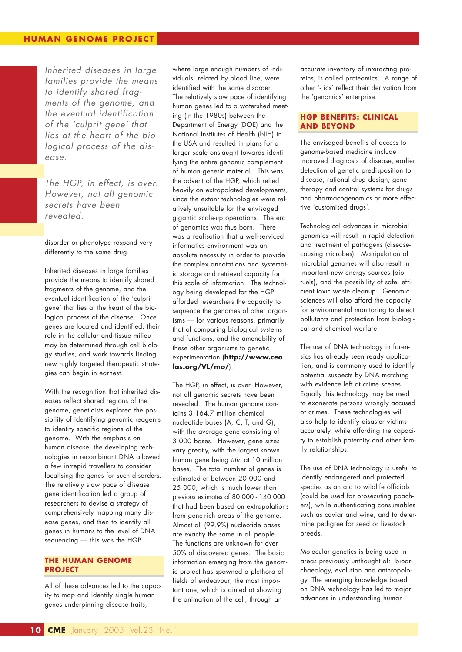*Inherited diseases in large families provide the means to identify shared fragments of the genome, and the eventual identification of the 'culprit gene' that lies at the heart of the biological process of the disease.*

*The HGP, in effect, is over. However, not all genomic secrets have been revealed.*

disorder or phenotype respond very differently to the same drug.

Inherited diseases in large families provide the means to identify shared fragments of the genome, and the eventual identification of the 'culprit gene' that lies at the heart of the biological process of the disease. Once genes are located and identified, their role in the cellular and tissue milieu may be determined through cell biology studies, and work towards finding new highly targeted therapeutic strategies can begin in earnest.

With the recognition that inherited diseases reflect shared regions of the genome, geneticists explored the possibility of identifying genomic reagents to identify specific regions of the genome. With the emphasis on human disease, the developing technologies in recombinant DNA allowed a few intrepid travellers to consider localising the genes for such disorders. The relatively slow pace of disease gene identification led a group of researchers to devise a strategy of comprehensively mapping many disease genes, and then to identify all genes in humans to the level of DNA sequencing — this was the HGP.

#### **THE HUMAN GENOME PROJECT**

All of these advances led to the capacity to map and identify single human genes underpinning disease traits,

where large enough numbers of individuals, related by blood line, were identified with the same disorder. The relatively slow pace of identifying human genes led to a watershed meeting (in the 1980s) between the Department of Energy (DOE) and the National Institutes of Health (NIH) in the USA and resulted in plans for a larger scale onslaught towards identifying the entire genomic complement of human genetic material. This was the advent of the HGP, which relied heavily on extrapolated developments, since the extant technologies were relatively unsuitable for the envisaged gigantic scale-up operations. The era of genomics was thus born. There was a realisation that a well-serviced informatics environment was an absolute necessity in order to provide the complex annotations and systematic storage and retrieval capacity for this scale of information. The technology being developed for the HGP afforded researchers the capacity to sequence the genomes of other organisms — for various reasons, primarily that of comparing biological systems and functions, and the amenability of these other organisms to genetic experimentation (**http://www.ceo las.org/VL/mo/**).

The HGP, in effect, is over. However, not all genomic secrets have been revealed. The human genome contains 3 164.7 million chemical nucleotide bases (A, C, T, and G), with the average gene consisting of 3 000 bases. However, gene sizes vary greatly, with the largest known human gene being *titin* at 10 million bases. The total number of genes is estimated at between 20 000 and 25 000, which is much lower than previous estimates of 80 000 - 140 000 that had been based on extrapolations from gene-rich areas of the genome. Almost all (99.9%) nucleotide bases are exactly the same in all people. The functions are unknown for over 50% of discovered genes. The basic information emerging from the genomic project has spawned a plethora of fields of endeavour; the most important one, which is aimed at showing the animation of the cell, through an

accurate inventory of interacting proteins, is called proteomics. A range of other '- ics' reflect their derivation from the 'genomics' enterprise.

#### **HGP BENEFITS: CLINICAL AND BEYOND**

The envisaged benefits of access to genome-based medicine include improved diagnosis of disease, earlier detection of genetic predisposition to disease, rational drug design, gene therapy and control systems for drugs and pharmacogenomics or more effective 'customised drugs'.

Technological advances in microbial genomics will result in rapid detection and treatment of pathogens (diseasecausing microbes). Manipulation of microbial genomes will also result in important new energy sources (biofuels), and the possibility of safe, efficient toxic waste cleanup. Genomic sciences will also afford the capacity for environmental monitoring to detect pollutants and protection from biological and chemical warfare.

The use of DNA technology in forensics has already seen ready application, and is commonly used to identify potential suspects by DNA matching with evidence left at crime scenes. Equally this technology may be used to exonerate persons wrongly accused of crimes. These technologies will also help to identify disaster victims accurately, while affording the capacity to establish paternity and other family relationships.

The use of DNA technology is useful to identify endangered and protected species as an aid to wildlife officials (could be used for prosecuting poachers), while authenticating consumables such as caviar and wine, and to determine pedigree for seed or livestock breeds.

Molecular genetics is being used in areas previously unthought of: bioarchaeology, evolution and anthropology. The emerging knowledge based on DNA technology has led to major advances in understanding human